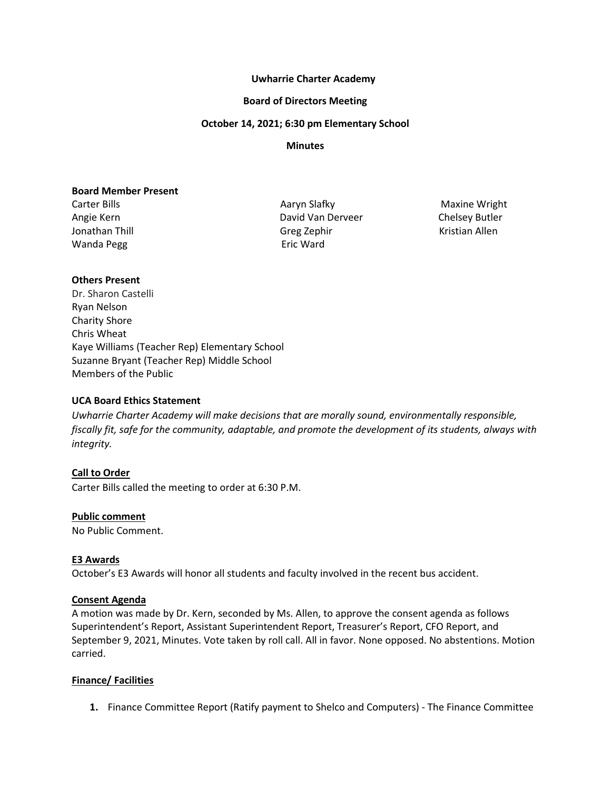#### **Uwharrie Charter Academy**

#### **Board of Directors Meeting**

#### **October 14, 2021; 6:30 pm Elementary School**

#### **Minutes**

#### **Board Member Present**

Wanda Pegg **Example 20** Seric Ward

Carter Bills **Aaryn Slafky** Maxine Wright Maxine Wright Angie Kern David Van Derveer Chelsey Butler Jonathan Thill Greg Zephir Greg Zephir Kristian Allen

## **Others Present**

Dr. Sharon Castelli Ryan Nelson Charity Shore Chris Wheat Kaye Williams (Teacher Rep) Elementary School Suzanne Bryant (Teacher Rep) Middle School Members of the Public

## **UCA Board Ethics Statement**

*Uwharrie Charter Academy will make decisions that are morally sound, environmentally responsible, fiscally fit, safe for the community, adaptable, and promote the development of its students, always with integrity.*

## **Call to Order**

Carter Bills called the meeting to order at 6:30 P.M.

#### **Public comment**

No Public Comment.

## **E3 Awards**

October's E3 Awards will honor all students and faculty involved in the recent bus accident.

#### **Consent Agenda**

A motion was made by Dr. Kern, seconded by Ms. Allen, to approve the consent agenda as follows Superintendent's Report, Assistant Superintendent Report, Treasurer's Report, CFO Report, and September 9, 2021, Minutes. Vote taken by roll call. All in favor. None opposed. No abstentions. Motion carried.

## **Finance/ Facilities**

**1.** Finance Committee Report (Ratify payment to Shelco and Computers) - The Finance Committee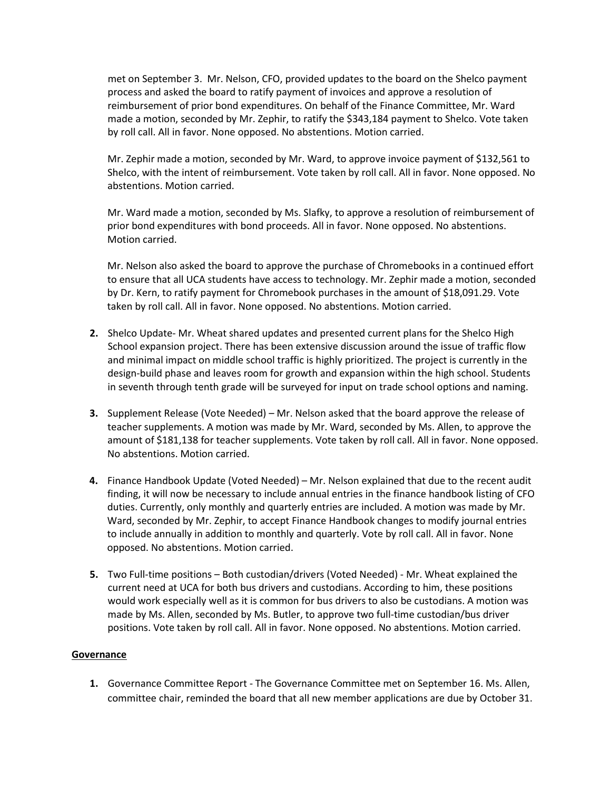met on September 3. Mr. Nelson, CFO, provided updates to the board on the Shelco payment process and asked the board to ratify payment of invoices and approve a resolution of reimbursement of prior bond expenditures. On behalf of the Finance Committee, Mr. Ward made a motion, seconded by Mr. Zephir, to ratify the \$343,184 payment to Shelco. Vote taken by roll call. All in favor. None opposed. No abstentions. Motion carried.

Mr. Zephir made a motion, seconded by Mr. Ward, to approve invoice payment of \$132,561 to Shelco, with the intent of reimbursement. Vote taken by roll call. All in favor. None opposed. No abstentions. Motion carried.

Mr. Ward made a motion, seconded by Ms. Slafky, to approve a resolution of reimbursement of prior bond expenditures with bond proceeds. All in favor. None opposed. No abstentions. Motion carried.

Mr. Nelson also asked the board to approve the purchase of Chromebooks in a continued effort to ensure that all UCA students have access to technology. Mr. Zephir made a motion, seconded by Dr. Kern, to ratify payment for Chromebook purchases in the amount of \$18,091.29. Vote taken by roll call. All in favor. None opposed. No abstentions. Motion carried.

- **2.** Shelco Update- Mr. Wheat shared updates and presented current plans for the Shelco High School expansion project. There has been extensive discussion around the issue of traffic flow and minimal impact on middle school traffic is highly prioritized. The project is currently in the design-build phase and leaves room for growth and expansion within the high school. Students in seventh through tenth grade will be surveyed for input on trade school options and naming.
- **3.** Supplement Release (Vote Needed) Mr. Nelson asked that the board approve the release of teacher supplements. A motion was made by Mr. Ward, seconded by Ms. Allen, to approve the amount of \$181,138 for teacher supplements. Vote taken by roll call. All in favor. None opposed. No abstentions. Motion carried.
- **4.** Finance Handbook Update (Voted Needed) Mr. Nelson explained that due to the recent audit finding, it will now be necessary to include annual entries in the finance handbook listing of CFO duties. Currently, only monthly and quarterly entries are included. A motion was made by Mr. Ward, seconded by Mr. Zephir, to accept Finance Handbook changes to modify journal entries to include annually in addition to monthly and quarterly. Vote by roll call. All in favor. None opposed. No abstentions. Motion carried.
- **5.** Two Full-time positions Both custodian/drivers (Voted Needed) Mr. Wheat explained the current need at UCA for both bus drivers and custodians. According to him, these positions would work especially well as it is common for bus drivers to also be custodians. A motion was made by Ms. Allen, seconded by Ms. Butler, to approve two full-time custodian/bus driver positions. Vote taken by roll call. All in favor. None opposed. No abstentions. Motion carried.

## **Governance**

**1.** Governance Committee Report - The Governance Committee met on September 16. Ms. Allen, committee chair, reminded the board that all new member applications are due by October 31.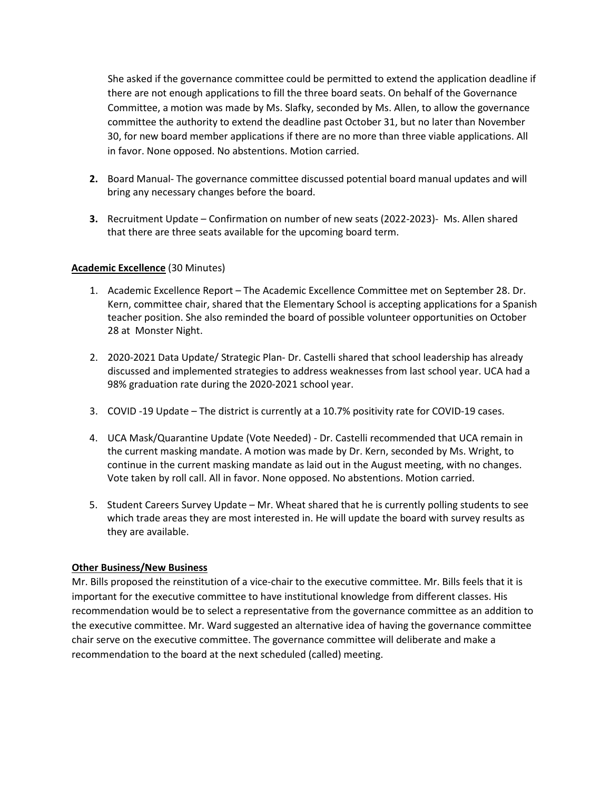She asked if the governance committee could be permitted to extend the application deadline if there are not enough applications to fill the three board seats. On behalf of the Governance Committee, a motion was made by Ms. Slafky, seconded by Ms. Allen, to allow the governance committee the authority to extend the deadline past October 31, but no later than November 30, for new board member applications if there are no more than three viable applications. All in favor. None opposed. No abstentions. Motion carried.

- **2.** Board Manual- The governance committee discussed potential board manual updates and will bring any necessary changes before the board.
- **3.** Recruitment Update Confirmation on number of new seats (2022-2023)- Ms. Allen shared that there are three seats available for the upcoming board term.

## **Academic Excellence** (30 Minutes)

- 1. Academic Excellence Report The Academic Excellence Committee met on September 28. Dr. Kern, committee chair, shared that the Elementary School is accepting applications for a Spanish teacher position. She also reminded the board of possible volunteer opportunities on October 28 at Monster Night.
- 2. 2020-2021 Data Update/ Strategic Plan- Dr. Castelli shared that school leadership has already discussed and implemented strategies to address weaknesses from last school year. UCA had a 98% graduation rate during the 2020-2021 school year.
- 3. COVID -19 Update The district is currently at a 10.7% positivity rate for COVID-19 cases.
- 4. UCA Mask/Quarantine Update (Vote Needed) Dr. Castelli recommended that UCA remain in the current masking mandate. A motion was made by Dr. Kern, seconded by Ms. Wright, to continue in the current masking mandate as laid out in the August meeting, with no changes. Vote taken by roll call. All in favor. None opposed. No abstentions. Motion carried.
- 5. Student Careers Survey Update Mr. Wheat shared that he is currently polling students to see which trade areas they are most interested in. He will update the board with survey results as they are available.

## **Other Business/New Business**

Mr. Bills proposed the reinstitution of a vice-chair to the executive committee. Mr. Bills feels that it is important for the executive committee to have institutional knowledge from different classes. His recommendation would be to select a representative from the governance committee as an addition to the executive committee. Mr. Ward suggested an alternative idea of having the governance committee chair serve on the executive committee. The governance committee will deliberate and make a recommendation to the board at the next scheduled (called) meeting.